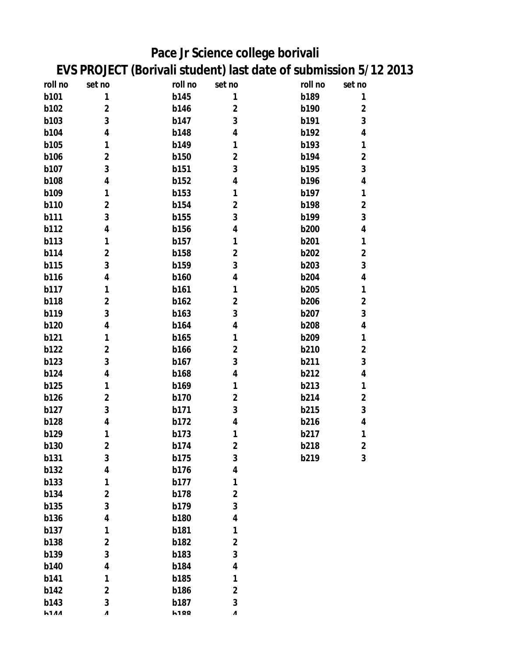## **Pace Jr Science college borivali EVS PROJECT (Borivali student) last date of submission 5/12 2013**

| roll no     | set no       | roll no     | set no         | roll no     | set no                  |
|-------------|--------------|-------------|----------------|-------------|-------------------------|
| b101        | 1            | <b>b145</b> | 1              | b189        | 1                       |
| b102        | $\mathbf 2$  | b146        | $\mathbf 2$    | b190        | $\mathbf 2$             |
| b103        | 3            | b147        | 3              | b191        | 3                       |
| <b>b104</b> | 4            | <b>b148</b> | 4              | b192        | 4                       |
| <b>b105</b> | 1            | b149        | 1              | b193        | 1                       |
| <b>b106</b> | $\mathbf 2$  | <b>b150</b> | $\mathbf 2$    | b194        | $\mathbf 2$             |
| b107        | 3            | b151        | 3              | b195        | $\mathbf{3}$            |
| <b>b108</b> | 4            | <b>b152</b> | 4              | b196        | 4                       |
| b109        | 1            | b153        | 1              | b197        | 1                       |
| <b>b110</b> | $\mathbf{2}$ | <b>b154</b> | $\mathbf 2$    | <b>b198</b> | $\mathbf{2}$            |
| b111        | 3            | <b>b155</b> | 3              | b199        | $\overline{\mathbf{3}}$ |
| b112        | 4            | <b>b156</b> | 4              | <b>b200</b> | 4                       |
| b113        | 1            | b157        | 1              | b201        | 1                       |
| <b>b114</b> | $\mathbf 2$  | <b>b158</b> | $\mathbf 2$    | <b>b202</b> | $\mathbf 2$             |
| <b>b115</b> | 3            | <b>b159</b> | 3              | <b>b203</b> | 3                       |
| b116        | 4            | b160        | 4              | <b>b204</b> | 4                       |
| <b>b117</b> | 1            | b161        | 1              | <b>b205</b> | 1                       |
| <b>b118</b> | $\mathbf 2$  | b162        | $\mathbf 2$    | <b>b206</b> | $\mathbf 2$             |
| b119        | 3            | b163        | 3              | b207        | $\mathbf{3}$            |
| <b>b120</b> | 4            | <b>b164</b> | 4              | <b>b208</b> | 4                       |
| b121        | 1            | <b>b165</b> | 1              | b209        | 1                       |
| <b>b122</b> | $\mathbf{2}$ | b166        | $\mathbf 2$    | b210        | $\mathbf{2}$            |
| b123        | 3            | b167        | 3              | b211        | 3                       |
| <b>b124</b> | 4            | <b>b168</b> | 4              | b212        | 4                       |
| <b>b125</b> | 1            | b169        | 1              | b213        | 1                       |
| <b>b126</b> | $\mathbf 2$  | <b>b170</b> | $\mathbf 2$    | b214        | $\mathbf{2}$            |
| b127        | 3            | b171        | 3              | b215        | 3                       |
| <b>b128</b> | 4            | b172        | 4              | b216        | 4                       |
| b129        | 1            | b173        | 1              | b217        | 1                       |
| b130        | $\mathbf 2$  | b174        | $\mathbf 2$    | b218        | $\mathbf{2}$            |
| b131        | 3            | b175        | 3              | b219        | 3                       |
| <b>b132</b> | 4            | b176        | 4              |             |                         |
| b133        | 1            | b177        | 1              |             |                         |
| <b>b134</b> | $\mathbf 2$  | <b>b178</b> | $\overline{2}$ |             |                         |
| <b>b135</b> | 3            | b179        | 3              |             |                         |
| <b>b136</b> | 4            | <b>b180</b> | 4              |             |                         |
| b137        | 1            | b181        | 1              |             |                         |
| <b>b138</b> | $\mathbf 2$  | <b>b182</b> | $\mathbf 2$    |             |                         |
| b139        | 3            | b183        | 3              |             |                         |
| b140        | 4            | <b>b184</b> | 4              |             |                         |
| b141        | 1            | <b>b185</b> | 1              |             |                         |
| b142        | $\mathbf 2$  | <b>b186</b> | $\overline{2}$ |             |                         |
| b143        | 3            | b187        | 3              |             |                         |
| <b>h111</b> | Λ            | <b>h100</b> | Λ              |             |                         |